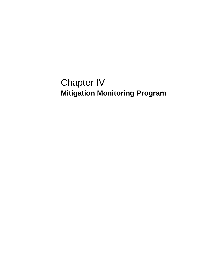# Chapter IV **Mitigation Monitoring Program**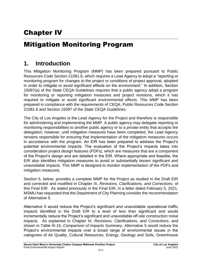## Chapter IV

## Mitigation Monitoring Program

### **1. Introduction**

This Mitigation Monitoring Program (MMP) has been prepared pursuant to Public Resources Code Section 21081.6, which requires a Lead Agency to adopt a "reporting or monitoring program for changes to the project or conditions of project approval, adopted in order to mitigate or avoid significant effects on the environment." In addition, Section 15097(a) of the State CEQA Guidelines requires that a public agency adopt a program for monitoring or reporting mitigation measures and project revisions, which it has required to mitigate or avoid significant environmental effects. This MMP has been prepared in compliance with the requirements of CEQA, Public Resources Code Section 21081.6 and Section 15097 of the State CEQA Guidelines.

The City of Los Angeles is the Lead Agency for the Project and therefore is responsible for administering and implementing the MMP. A public agency may delegate reporting or monitoring responsibilities to another public agency or to a private entity that accepts the delegation; however, until mitigation measures have been completed, the Lead Agency remains responsible for ensuring that implementation of the mitigation measures occurs in accordance with the program. An EIR has been prepared to address the Project's potential environmental impacts. The evaluation of the Project's impacts takes into consideration project design features (PDFs), which are measures that are a component of the Project's design and are detailed in the EIR. Where appropriate and feasible, the EIR also identifies mitigation measures to avoid or substantially lessen significant and unavoidable impacts. This MMP is designed to monitor implementation of the PDFs and mitigation measures.

Section 5, below, provides a complete MMP for the Project as studied in the Draft EIR and corrected and modified in Chapter III, *Revisions, Clarifications, and Corrections*, of this Final EIR. As stated previously in the Final EIR, in a letter dated February 5, 2021, MSMU has requested that the Department of City Planning consider the recommendation of Alternative 5.

Alternative 5 would reduce the Project's significant and unavoidable operational traffic impacts identified in the Draft EIR to a level of less than significant and would incrementally reduce the Project's significant and unavoidable off-site construction noise impacts. As explained in Chapter III, *Revisions, Clarifications, and Corrections*, and shown in Table III-15, *Comparison of Impacts Summary*, Alternative 5 would reduce the Project's environmental impacts over a broad range of environmental issues in the categories of Air Quality, Cultural Resources, Energy, Geology and Soils, Greenhouse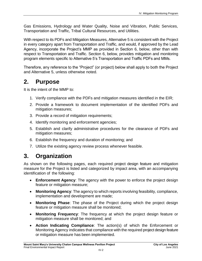Gas Emissions, Hydrology and Water Quality, Noise and Vibration, Public Services, Transportation and Traffic, Tribal Cultural Resources, and Utilities.

With respect to its PDFs and Mitigation Measures, Alternative 5 is consistent with the Project in every category apart from Transportation and Traffic, and would, if approved by the Lead Agency, incorporate the Project's MMP as provided in Section 6, below, other than with respect to Transportation and Traffic. Section 6, below, provides mitigation and monitoring program elements specific to Alternative 5's Transportation and Traffic PDFs and MMs.

Therefore, any reference to the "Project" (or project) below shall apply to both the Project and Alternative 5, unless otherwise noted.

## **2. Purpose**

It is the intent of the MMP to:

- 1. Verify compliance with the PDFs and mitigation measures identified in the EIR;
- 2. Provide a framework to document implementation of the identified PDFs and mitigation measures;
- 3. Provide a record of mitigation requirements;
- 4. Identify monitoring and enforcement agencies;
- 5. Establish and clarify administrative procedures for the clearance of PDFs and mitigation measures;
- 6. Establish the frequency and duration of monitoring; and
- 7. Utilize the existing agency review process whenever feasible.

## **3. Organization**

As shown on the following pages, each required project design feature and mitigation measure for the Project is listed and categorized by impact area, with an accompanying identification of the following:

- **Enforcement Agency**: The agency with the power to enforce the project design feature or mitigation measure;
- **Monitoring Agency**: The agency to which reports involving feasibility, compliance, implementation and development are made;
- **Monitoring Phase**: The phase of the Project during which the project design feature or mitigation measure shall be monitored;
- **Monitoring Frequency**: The frequency at which the project design feature or mitigation measure shall be monitored; and
- **Action Indicating Compliance**: The action(s) of which the Enforcement or Monitoring Agency indicates that compliance with the required project design feature or mitigation measure has been implemented.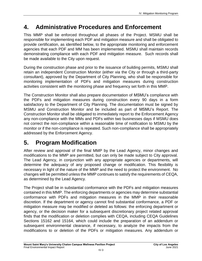## **4. Administrative Procedures and Enforcement**

This MMP shall be enforced throughout all phases of the Project. MSMU shall be responsible for implementing each PDF and mitigation measure and shall be obligated to provide certification, as identified below, to the appropriate monitoring and enforcement agencies that each PDF and MM has been implemented. MSMU shall maintain records demonstrating compliance with each PDF and mitigation measure. Such records shall be made available to the City upon request.

During the construction phase and prior to the issuance of building permits, MSMU shall retain an independent Construction Monitor (either via the City or through a third-party consultant), approved by the Department of City Planning, who shall be responsible for monitoring implementation of PDFs and mitigation measures during construction activities consistent with the monitoring phase and frequency set forth in this MMP.

The Construction Monitor shall also prepare documentation of MSMU's compliance with the PDFs and mitigation measures during construction every 90 days in a form satisfactory to the Department of City Planning. The documentation must be signed by MSMU and Construction Monitor and be included as part of MSMU's Report. The Construction Monitor shall be obligated to immediately report to the Enforcement Agency any non-compliance with the MMs and PDFs within two businesses days if MSMU does not correct the non-compliance within a reasonable time of notification to MSMU by the monitor or if the non-compliance is repeated. Such non-compliance shall be appropriately addressed by the Enforcement Agency.

## **5. Program Modification**

After review and approval of the final MMP by the Lead Agency, minor changes and modifications to the MMP are permitted, but can only be made subject to City approval. The Lead Agency, in conjunction with any appropriate agencies or departments, will determine the adequacy of any proposed change or modification. This flexibility is necessary in light of the nature of the MMP and the need to protect the environment. No changes will be permitted unless the MMP continues to satisfy the requirements of CEQA, as determined by the Lead Agency.

The Project shall be in substantial conformance with the PDFs and mitigation measures contained in this MMP. The enforcing departments or agencies may determine substantial conformance with PDFs and mitigation measures in the MMP in their reasonable discretion. If the department or agency cannot find substantial conformance, a PDF or mitigation measure may be modified or deleted as follows: the enforcing department or agency, or the decision maker for a subsequent discretionary project related approval finds that the modification or deletion complies with CEQA, including CEQA Guidelines Sections 15162 and 15164, which could include the preparation of an addendum or subsequent environmental clearance, if necessary, to analyze the impacts from the modifications to or deletion of the PDFs or mitigation measures. Any addendum or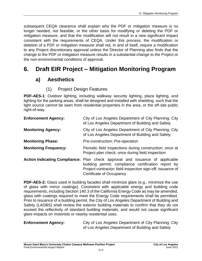subsequent CEQA clearance shall explain why the PDF or mitigation measure is no longer needed, not feasible, or the other basis for modifying or deleting the PDF or mitigation measure, and that the modification will not result in a new significant impact consistent with the requirements of CEQA. Under this process, the modification or deletion of a PDF or mitigation measure shall not, in and of itself, require a modification to any Project discretionary approval unless the Director of Planning also finds that the change to the PDF or mitigation measure results in a substantial change to the Project or the non-environmental conditions of approval.

## **6. Draft EIR Project – Mitigation Monitoring Program**

### **a) Aesthetics**

### (1) Project Design Features

**PDF-AES-1**: Outdoor lighting, including walkway security lighting, plaza lighting, and lighting for the parking areas, shall be designed and installed with shielding, such that the light source cannot be seen from residential properties in the area, or the off-site public right-of-way.

| <b>Enforcement Agency:</b>   | City of Los Angeles Department of City Planning; City<br>of Los Angeles Department of Building and Safety                                                                                                                     |
|------------------------------|-------------------------------------------------------------------------------------------------------------------------------------------------------------------------------------------------------------------------------|
| <b>Monitoring Agency:</b>    | City of Los Angeles Department of City Planning; City<br>of Los Angeles Department of Building and Safety                                                                                                                     |
| <b>Monitoring Phase:</b>     | Pre-construction; Pre-operation                                                                                                                                                                                               |
| <b>Monitoring Frequency:</b> | Periodic field inspections during construction; once at<br>Project plan check; once during field inspection                                                                                                                   |
|                              | Action Indicating Compliance: Plan check approval and issuance of applicable<br>building permit; compliance certification report by<br>Project contractor; field inspection sign-off; issuance of<br>Certificate of Occupancy |

**PDF-AES-2:** Glass used in building facades shall minimize glare (e.g., minimize the use of glass with mirror coatings). Consistent with applicable energy and building code requirements, including Section 140.3 of the California Energy Code as may be amended, glass with coatings required to meet the Energy Code requirements shall be permitted. Prior to issuance of a building permit, the City of Los Angeles Department of Building and Safety (LADBS) shall review the exterior building materials to confirm that they do not exceed the reflectivity of standard building materials, and would not cause significant glare impacts on motorists or nearby residential uses.

**Enforcement Agency:** City of Los Angeles Department of City Planning; City of Los Angeles Department of Building and Safety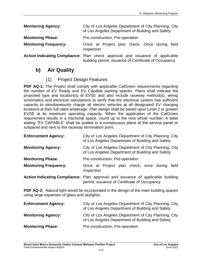**Monitoring Agency:** City of Los Angeles Department of City Planning; City of Los Angeles Department of Building and Safety **Monitoring Phase:** Pre-construction; Pre-operation **Monitoring Frequency:** Once at Project plan check; Once during field inspection **Action Indicating Compliance:** Plan check approval and issuance of applicable building permit; issuance of Certificate of Occupancy

### **b) Air Quality**

### (1) Project Design Features

**PDF AQ-1:** The Project shall comply with applicable CalGreen requirements regarding the number of EV Ready and EV Capable parking spaces. Plans shall indicate the proposed type and location(s) of EVSE and also include raceway method(s), wiring schematics and electrical calculations to verify that the electrical system has sufficient capacity to simultaneously charge all electric vehicles at all designated EV charging locations at their full rated amperage. Plan design shall be based upon Level 2 or greater EVSE at its maximum operating capacity. When the application of the CalGreen requirement results in a fractional space, round up to the next whole number. A label stating "EV CAPABLE" shall be posted in a conspicuous place at the service panel or subpanel and next to the raceway termination point.

| <b>Enforcement Agency:</b>   | City of Los Angeles Department of City Planning; City<br>of Los Angeles Department of Building and Safety                       |
|------------------------------|---------------------------------------------------------------------------------------------------------------------------------|
| <b>Monitoring Agency:</b>    | City of Los Angeles Department of City Planning; City<br>of Los Angeles Department of Building and Safety                       |
| <b>Monitoring Phase:</b>     | Pre-construction; Pre-operation                                                                                                 |
| <b>Monitoring Frequency:</b> | Once at Project plan check; once during<br>field<br>inspection                                                                  |
|                              | Action Indicating Compliance: Plan approval and issuance of applicable building<br>permit; issuance of Certificate of Occupancy |

**PDF AQ-2:** Natural light would be incorporated in the design of the main building spaces using large expanses of glass and skylights.

| <b>Enforcement Agency:</b> | City of Los Angeles Department of City Planning; City<br>of Los Angeles Department of Building and Safety |
|----------------------------|-----------------------------------------------------------------------------------------------------------|
| <b>Monitoring Agency:</b>  | City of Los Angeles Department of City Planning; City<br>of Los Angeles Department of Building and Safety |
| <b>Monitoring Phase:</b>   | Pre-construction; Pre-operation                                                                           |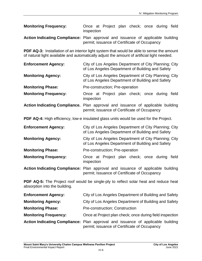| <b>Monitoring Frequency:</b>                                                           | inspection |  |  |                                              | Once at Project plan check; once during field |  |
|----------------------------------------------------------------------------------------|------------|--|--|----------------------------------------------|-----------------------------------------------|--|
| <b>Action Indicating Compliance:</b> Plan approval and issuance of applicable building |            |  |  | permit; issuance of Certificate of Occupancy |                                               |  |

**PDF AQ-3:** Installation of an interior light system that would be able to sense the amount of natural light available and automatically adjust the amount of artificial light needed.

| <b>Enforcement Agency:</b>   | City of Los Angeles Department of City Planning; City<br>of Los Angeles Department of Building and Safety                       |
|------------------------------|---------------------------------------------------------------------------------------------------------------------------------|
| <b>Monitoring Agency:</b>    | City of Los Angeles Department of City Planning; City<br>of Los Angeles Department of Building and Safety                       |
| <b>Monitoring Phase:</b>     | Pre-construction; Pre-operation                                                                                                 |
| <b>Monitoring Frequency:</b> | Once at Project plan check; once during<br>field<br>inspection                                                                  |
|                              | Action Indicating Compliance. Plan approval and issuance of applicable building<br>permit; issuance of Certificate of Occupancy |
|                              | <b>PDF AQ-4:</b> High efficiency, low-e insulated glass units would be used for the Project.                                    |
| <b>Enforcement Agency:</b>   | City of Los Angeles Department of City Planning; City<br>of Los Angeles Department of Building and Safety                       |
| <b>Monitoring Agency:</b>    | City of Los Angeles Department of City Planning; City<br>of Los Angeles Department of Building and Safety                       |
| <b>Monitoring Phase:</b>     | Pre-construction; Pre-operation                                                                                                 |
| <b>Monitoring Frequency:</b> | Once at Project plan check; once during<br>field<br>inspection                                                                  |
|                              | Action Indicating Compliance: Plan approval and issuance of applicable building<br>permit; Issuance of Certificate of Occupancy |

**PDF AQ-5:** The Project roof would be single-ply to reflect solar heat and reduce heat absorption into the building.

| <b>Enforcement Agency:</b>   | City of Los Angeles Department of Building and Safety                                                                           |
|------------------------------|---------------------------------------------------------------------------------------------------------------------------------|
| <b>Monitoring Agency:</b>    | City of Los Angeles Department of Building and Safety                                                                           |
| <b>Monitoring Phase:</b>     | <b>Pre-construction: Construction</b>                                                                                           |
| <b>Monitoring Frequency:</b> | Once at Project plan check; once during field inspection                                                                        |
|                              | Action Indicating Compliance: Plan approval and issuance of applicable building<br>permit; issuance of Certificate of Occupancy |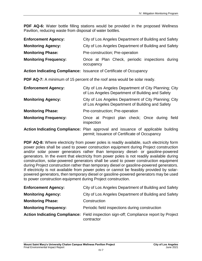**PDF AQ-6:** Water bottle filling stations would be provided in the proposed Wellness Pavilion, reducing waste from disposal of water bottles.

| <b>Enforcement Agency:</b>   | City of Los Angeles Department of Building and Safety                                                     |
|------------------------------|-----------------------------------------------------------------------------------------------------------|
| <b>Monitoring Agency:</b>    | City of Los Angeles Department of Building and Safety                                                     |
| <b>Monitoring Phase:</b>     | Pre-construction; Pre-operation                                                                           |
| <b>Monitoring Frequency:</b> | Once at Plan Check, periodic inspections during<br>occupancy                                              |
|                              | Action Indicating Compliance: Issuance of Certificate of Occupancy                                        |
|                              | <b>PDF AQ-7:</b> A minimum of 15 percent of the roof area would be solar ready.                           |
| <b>Enforcement Agency:</b>   | City of Los Angeles Department of City Planning; City<br>of Los Angeles Department of Building and Safety |
| <b>Monitoring Agency:</b>    | City of Los Angeles Department of City Planning; City<br>of Los Angeles Department of Building and Safety |
| <b>Monitoring Phase:</b>     | Pre-construction; Pre-operation                                                                           |
| <b>Monitoring Frequency:</b> | Once at Project plan check; Once during<br>field<br>inspection                                            |

**Action Indicating Compliance:** Plan approval and issuance of applicable building permit; Issuance of Certificate of Occupancy

**PDF AQ-8:** Where electricity from power poles is readily available, such electricity form power poles shall be used to power construction equipment during Project construction and/or solar power generators rather than temporary diesel- or gasoline-powered generators. In the event that electricity from power poles is not readily available during construction, solar-powered generators shall be used to power construction equipment during Project construction rather than temporary diesel or gasoline-powered generators. If electricity is not available from power poles or cannot be feasibly provided by solarpowered generators, then temporary diesel or gasoline-powered generators may be used to power construction equipment during Project construction.

| <b>Enforcement Agency:</b>   | City of Los Angeles Department of Building and Safety                                               |
|------------------------------|-----------------------------------------------------------------------------------------------------|
| <b>Monitoring Agency:</b>    | City of Los Angeles Department of Building and Safety                                               |
| <b>Monitoring Phase:</b>     | Construction                                                                                        |
| <b>Monitoring Frequency:</b> | Periodic field inspections during construction                                                      |
|                              | Action Indicating Compliance: Field inspection sign-off; Compliance report by Project<br>contractor |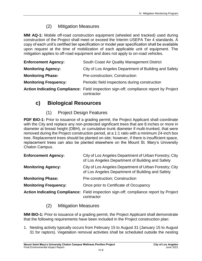### (2) Mitigation Measures

**MM AQ-1:** Mobile off-road construction equipment (wheeled and tracked) used during construction of the Project shall meet or exceed the Interim USEPA Tier 4 standards. A copy of each unit's certified tier specification or model year specification shall be available upon request at the time of mobilization of each applicable unit of equipment. The mitigation applies to off-road equipment and does not apply to on-road vehicles.

| <b>Enforcement Agency:</b>   | South Coast Air Quality Management District                                                         |
|------------------------------|-----------------------------------------------------------------------------------------------------|
| <b>Monitoring Agency:</b>    | City of Los Angeles Department of Building and Safety                                               |
| <b>Monitoring Phase:</b>     | <b>Pre-construction: Construction</b>                                                               |
| <b>Monitoring Frequency:</b> | Periodic field inspections during construction                                                      |
|                              | Action Indicating Compliance: Field inspection sign-off; compliance report by Project<br>contractor |

### **c) Biological Resources**

### (1) Project Design Features

**PDF BIO-1:** Prior to issuance of a grading permit, the Project Applicant shall coordinate with the City and replace any non-protected significant trees that are 8 inches or more in diameter at breast height (DBH), or cumulative trunk diameter if multi-trunked, that were removed during the Project construction period, at a 1:1 ratio with a minimum 24-inch box tree. Replacement trees should be planted on-site; however, if there is insufficient space, replacement trees can also be planted elsewhere on the Mount St. Mary's University Chalon Campus.

| <b>Enforcement Agency:</b>   | City of Los Angeles Department of Urban Forestry; City<br>of Los Angeles Department of Building and Safety |
|------------------------------|------------------------------------------------------------------------------------------------------------|
| <b>Monitoring Agency:</b>    | City of Los Angeles Department of Urban Forestry; City<br>of Los Angeles Department of Building and Safety |
| <b>Monitoring Phase:</b>     | <b>Pre-construction: Construction</b>                                                                      |
| <b>Monitoring Frequency:</b> | Once prior to Certificate of Occupancy                                                                     |
|                              | Action Indicating Compliance: Field inspection sign-off; compliance report by Project<br>contractor        |

### (2) Mitigation Measures

**MM BIO-1:** Prior to issuance of a grading permit, the Project Applicant shall demonstrate that the following requirements have been included in the Project construction plan:

1. Nesting activity typically occurs from February 15 to August 31 (January 15 to August 31 for raptors). Vegetation removal activities shall be scheduled outside the nesting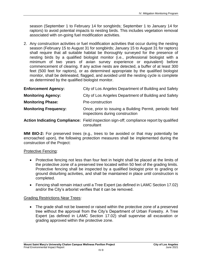season (September 1 to February 14 for songbirds; September 1 to January 14 for raptors) to avoid potential impacts to nesting birds. This includes vegetation removal associated with on-going fuel modification activities.

2. Any construction activities or fuel modification activities that occur during the nesting season (February 15 to August 31 for songbirds; January 15 to August 31 for raptors) shall require that all suitable habitat be thoroughly surveyed for the presence of nesting birds by a qualified biologist monitor (i.e., professional biologist with a minimum of two years of avian survey experience or equivalent) before commencement of clearing. If any active nests are detected, a buffer of at least 300 feet (500 feet for raptors), or as determined appropriate by the qualified biologist monitor, shall be delineated, flagged, and avoided until the nesting cycle is complete as determined by the qualified biologist monitor.

| <b>Enforcement Agency:</b>   | City of Los Angeles Department of Building and Safety                                                 |
|------------------------------|-------------------------------------------------------------------------------------------------------|
| <b>Monitoring Agency:</b>    | City of Los Angeles Department of Building and Safety                                                 |
| <b>Monitoring Phase:</b>     | Pre-construction                                                                                      |
| <b>Monitoring Frequency:</b> | Once, prior to issuing a Building Permit, periodic field<br>inspections during construction           |
|                              | Action Indicating Compliance: Field inspection sign-off; compliance report by qualified<br>consultant |

**MM BIO-2:** For preserved trees (e.g., trees to be avoided or that may potentially be encroached upon), the following protection measures shall be implemented during the construction of the Project:

#### Protective Fencing:

- Protective fencing not less than four feet in height shall be placed at the limits of the protective zone of a preserved tree located within 50 feet of the grading limits. Protective fencing shall be inspected by a qualified biologist prior to grading or ground disturbing activities, and shall be maintained in place until construction is completed.
- Fencing shall remain intact until a Tree Expert (as defined in LAMC Section 17.02) and/or the City's arborist verifies that it can be removed.

#### Grading Restrictions Near Trees:

• The grade shall not be lowered or raised within the protective zone of a preserved tree without the approval from the City's Department of Urban Forestry. A Tree Expert (as defined in LAMC Section 17.02) shall supervise all excavation or grading approved within the protective zone.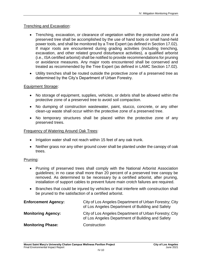#### Trenching and Excavation:

- Trenching, excavation, or clearance of vegetation within the protective zone of a preserved tree shall be accomplished by the use of hand tools or small hand-held power tools, and shall be monitored by a Tree Expert (as defined in Section 17.02). If major roots are encountered during grading activities (including trenching, excavation, and other related ground disturbance activities), a qualified arborist (i.e., ISA certified arborist) shall be notified to provide recommendations for pruning or avoidance measures. Any major roots encountered shall be conserved and treated as recommended by the Tree Expert (as defined in LAMC Section 17.02).
- Utility trenches shall be routed outside the protective zone of a preserved tree as determined by the City's Department of Urban Forestry.

#### Equipment Storage:

- No storage of equipment, supplies, vehicles, or debris shall be allowed within the protective zone of a preserved tree to avoid soil compaction.
- No dumping of construction wastewater, paint, stucco, concrete, or any other clean-up waste shall occur within the protective zone of a preserved tree.
- No temporary structures shall be placed within the protective zone of any preserved trees.

#### Frequency of Watering Around Oak Trees:

- Irrigation water shall not reach within 15 feet of any oak trunk.
- Neither grass nor any other ground cover shall be planted under the canopy of oak trees.

#### Pruning:

- Pruning of preserved trees shall comply with the National Arborist Association guidelines; in no case shall more than 20 percent of a preserved tree canopy be removed. As determined to be necessary by a certified arborist, after pruning, installation of support cables to prevent future main crotch failures are required.
- Branches that could be injured by vehicles or that interfere with construction shall be pruned to the satisfaction of a certified arborist.

| <b>Enforcement Agency:</b> | City of Los Angeles Department of Urban Forestry; City<br>of Los Angeles Department of Building and Safety |
|----------------------------|------------------------------------------------------------------------------------------------------------|
| <b>Monitoring Agency:</b>  | City of Los Angeles Department of Urban Forestry; City<br>of Los Angeles Department of Building and Safety |
| <b>Monitoring Phase:</b>   | Construction                                                                                               |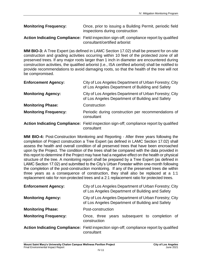| <b>Monitoring Frequency:</b> | Once, prior to issuing a Building Permit, periodic field |
|------------------------------|----------------------------------------------------------|
|                              | inspections during construction                          |

**Action Indicating Compliance:** Field inspection sign-off; compliance report by qualified consultant/certified arborist

**MM BIO-3:** A Tree Expert (as defined in LAMC Section 17.02) shall be present for on-site construction and grading activities occurring within 10 feet of the protected zone of all preserved trees. If any major roots larger than 1 inch in diameter are encountered during construction activities, the qualified arborist (i.e., ISA certified arborist) shall be notified to provide recommendations to avoid damaging roots, so that the health of the tree will not be compromised.

| <b>Enforcement Agency:</b>   | City of Los Angeles Department of Urban Forestry; City<br>of Los Angeles Department of Building and Safety |
|------------------------------|------------------------------------------------------------------------------------------------------------|
| <b>Monitoring Agency:</b>    | City of Los Angeles Department of Urban Forestry; City<br>of Los Angeles Department of Building and Safety |
| <b>Monitoring Phase:</b>     | Construction                                                                                               |
| <b>Monitoring Frequency:</b> | Periodic during construction per recommendations of<br>consultant                                          |
|                              | Action Indicating Compliance: Field inspection sign-off; compliance report by qualified<br>consultant      |

**MM BIO-4:** Post-Construction Monitoring and Reporting - After three years following the completion of Project construction a Tree Expert (as defined in LAMC Section 17.02) shall assess the health and overall condition of all preserved trees that have been encroached upon by the Project. The condition of the trees shall be compared with the data provided in this report to determine if the Project may have had a negative effect on the health or physical structure of the tree. A monitoring report shall be prepared by a Tree Expert (as defined in LAMC Section 17.02) and submitted to the City's Urban Forester within one-month following the completion of the post-construction monitoring. If any of the preserved trees die within three years as a consequence of construction, they shall also be replaced at a 1:1 replacement ratio for non-protected trees and a 2:1 replacement ratio for protected trees.

| <b>Enforcement Agency:</b>   | City of Los Angeles Department of Urban Forestry; City<br>of Los Angeles Department of Building and Safety |
|------------------------------|------------------------------------------------------------------------------------------------------------|
| <b>Monitoring Agency:</b>    | City of Los Angeles Department of Urban Forestry; City<br>of Los Angeles Department of Building and Safety |
| <b>Monitoring Phase:</b>     | Post-construction                                                                                          |
| <b>Monitoring Frequency:</b> | Once, three years subsequent to completion of<br>construction                                              |
|                              | Action Indicating Compliance: Field inspection sign-off; compliance report by qualified<br>consultant      |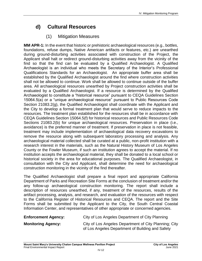## **d) Cultural Resources**

### (1) Mitigation Measures

**MM APR-1:** In the event that historic or prehistoric archaeological resources (e.g., bottles, foundations, refuse dumps, Native American artifacts or features, etc.) are unearthed during ground-disturbing activities associated with construction of the Project, the Applicant shall halt or redirect ground-disturbing activities away from the vicinity of the find so that the find can be evaluated by a Qualified Archaeologist. A Qualified Archaeologist is an individual who meets the Secretary of the Interior's Professional Qualifications Standards for an Archaeologist. An appropriate buffer area shall be established by the Qualified Archaeologist around the find where construction activities shall not be allowed to continue. Work shall be allowed to continue outside of the buffer area. All archaeological resources unearthed by Project construction activities shall be evaluated by a Qualified Archaeologist. If a resource is determined by the Qualified Archaeologist to constitute a "historical resource" pursuant to CEQA Guidelines Section 15064.5(a) or a "unique archaeological resource" pursuant to Public Resources Code Section 21083.2(g), the Qualified Archaeologist shall coordinate with the Applicant and the City to develop a formal treatment plan that would serve to reduce impacts to the resources. The treatment plan established for the resources shall be in accordance with CEQA Guidelines Section 15064.5(f) for historical resources and Public Resources Code Sections 21083.2(b) for unique archaeological resources. Preservation in place (i.e., avoidance) is the preferred manner of treatment. If preservation in place is not feasible, treatment may include implementation of archaeological data recovery excavations to remove the resource along with subsequent laboratory processing and analysis. Any archaeological material collected shall be curated at a public, non-profit institution with a research interest in the materials, such as the Natural History Museum of Los Angeles County or the Fowler Museum, if such an institution agrees to accept the material. If no institution accepts the archaeological material, they shall be donated to a local school or historical society in the area for educational purposes. The Qualified Archaeologist, in consultation with the City and Applicant, shall determine the need for archaeological construction monitoring in the vicinity of the find thereafter.

The Qualified Archaeologist shall prepare a final report and appropriate California Department of Parks and Recreation Site Forms at the conclusion of treatment and/or the any follow-up archaeological construction monitoring. The report shall include a description of resources unearthed, if any, treatment of the resources, results of the artifact processing, analysis, and research, and evaluation of the resources with respect to the California Register of Historical Resources and CEQA. The report and the Site Forms shall be submitted by the Applicant to the City, the South Central Coastal Information Center, and representatives of other appropriate or concerned agencies.

| <b>Enforcement Agency:</b> | City of Los Angeles Department of City Planning                                                           |
|----------------------------|-----------------------------------------------------------------------------------------------------------|
| <b>Monitoring Agency:</b>  | City of Los Angeles Department of City Planning: City<br>of Los Angeles Department of Building and Safety |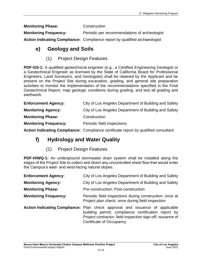**Monitoring Phase: Construction** 

**Monitoring Frequency:** Periodic per recommendations of archeologist

**Action Indicating Compliance:** Compliance report by qualified archaeologist

### **e) Geology and Soils**

(1) Project Design Features

**PDF-GS-1:** A qualified geotechnical engineer (e.g., a Certified Engineering Geologist or a Geotechnical Engineer as licensed by the State of California Board for Professional Engineers, Land Surveyors, and Geologists) shall be retained by the Applicant and be present on the Project Site during excavation, grading, and general site preparation activities to monitor the implementation of the recommendations specified in the Final Geotechnical Report, map geologic conditions during grading, and test all grading and earthwork.

| <b>Enforcement Agency:</b>   | City of Los Angeles Department of Building and Safety |
|------------------------------|-------------------------------------------------------|
| <b>Monitoring Agency:</b>    | City of Los Angeles Department of Building and Safety |
| <b>Monitoring Phase:</b>     | Construction                                          |
| <b>Monitoring Frequency:</b> | Periodic field inspections                            |

**Action Indicating Compliance:** Compliance certificate report by qualified consultant

### **f) Hydrology and Water Quality**

(1) Project Design Features

**PDF-H/WQ-1:** An underground stormwater drain system shall be installed along the edges of the Project Site to collect and divert any uncontrolled sheet flow that would enter the Campus's east- and west-facing natural slopes.

| <b>Enforcement Agency:</b>   | City of Los Angeles Department of Building and Safety                                                                                                                                                                                |
|------------------------------|--------------------------------------------------------------------------------------------------------------------------------------------------------------------------------------------------------------------------------------|
| <b>Monitoring Agency:</b>    | City of Los Angeles Department of Building and Safety                                                                                                                                                                                |
| <b>Monitoring Phase:</b>     | Pre-construction; Post-construction                                                                                                                                                                                                  |
| <b>Monitoring Frequency:</b> | Periodic field inspections during construction; once at<br>Project plan check; once during field inspection                                                                                                                          |
|                              | Action Indicating Compliance: Plan check approval and issuance of applicable<br>building permit; compliance certification report by<br>Project contractor; field inspection sign-off; issuance of<br><b>Certificate of Occupancy</b> |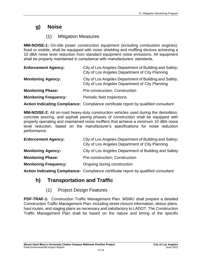### **g) Noise**

### (1) Mitigation Measures

**MM-NOISE-1:** On-site power construction equipment (including combustion engines), fixed or mobile, shall be equipped with noise shielding and muffling devices achieving a 10 dBA noise level reduction from standard equipment noise emissions. All equipment shall be properly maintained in compliance with manufacturers' standards.

| <b>Enforcement Agency:</b>   | City of Los Angeles Department of Building and Safety;<br>City of Los Angeles Department of City Planning |
|------------------------------|-----------------------------------------------------------------------------------------------------------|
| <b>Monitoring Agency:</b>    | City of Los Angeles Department of Building and Safety;<br>City of Los Angeles Department of City Planning |
| <b>Monitoring Phase:</b>     | Pre-construction; Construction                                                                            |
| <b>Monitoring Frequency:</b> | Periodic field inspections                                                                                |

**Action Indicating Compliance:** Compliance certificate report by qualified consultant

**MM-NOISE-2:** All on-road heavy-duty construction vehicles used during the demolition, concrete pouring, and asphalt paving phases of construction shall be equipped with properly operating and maintained noise mufflers that achieve a minimum 10 dBA noise level reduction, based on the manufacturer's specifications for noise reduction performance.

| <b>Enforcement Agency:</b>   | City of Los Angeles Department of Building and Safety;<br>City of Los Angeles Department of City Planning |
|------------------------------|-----------------------------------------------------------------------------------------------------------|
| <b>Monitoring Agency:</b>    | City of Los Angeles Department of Building and Safety                                                     |
| <b>Monitoring Phase:</b>     | <b>Pre-construction: Construction</b>                                                                     |
| <b>Monitoring Frequency:</b> | Ongoing during construction                                                                               |

**Action Indicating Compliance:** Compliance certificate report by qualified consultant

## **h) Transportation and Traffic**

(1) Project Design Features

**PDF-TRAF-1:** Construction Traffic Management Plan. MSMU shall prepare a detailed Construction Traffic Management Plan, including street closure information, detour plans, haul routes, and staging plans as necessary and satisfactory to LADOT. The Construction Traffic Management Plan shall be based on the nature and timing of the specific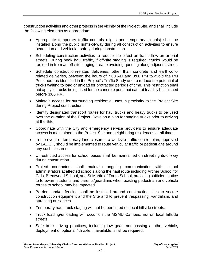construction activities and other projects in the vicinity of the Project Site, and shall include the following elements as appropriate:

- Appropriate temporary traffic controls (signs and temporary signals) shall be installed along the public rights-of-way during all construction activities to ensure pedestrian and vehicular safety during construction.
- Scheduling construction activities to reduce the effect on traffic flow on arterial streets. During peak haul traffic, if off-site staging is required, trucks would be radioed in from an off-site staging area to avoiding queuing along adjacent street.
- Schedule construction-related deliveries, other than concrete and earthworkrelated deliveries, between the hours of 7:00 AM and 3:00 PM to avoid the PM Peak hour as identified in the Project's Traffic Study and to reduce the potential of trucks waiting to load or unload for protracted periods of time. This restriction shall not apply to trucks being used for the concrete pour that cannot feasibly be finished before 3:00 PM.
- Maintain access for surrounding residential uses in proximity to the Project Site during Project construction.
- Identify designated transport routes for haul trucks and heavy trucks to be used over the duration of the Project. Develop a plan for staging trucks prior to arriving at the Site.
- Coordinate with the City and emergency service providers to ensure adequate access is maintained to the Project Site and neighboring residences at all times.
- In the event of temporary lane closures, a worksite traffic control plan, approved by LADOT, should be implemented to route vehicular traffic or pedestrians around any such closures.
- Unrestricted access for school buses shall be maintained on street rights-of-way during construction.
- Project contractors shall maintain ongoing communication with school administrators at affected schools along the haul route including Archer School for Girls, Brentwood School, and St Martin of Tours School, providing sufficient notice to forewarn students and parents/guardians when existing pedestrian and vehicle routes to school may be impacted.
- Barriers and/or fencing shall be installed around construction sites to secure construction equipment and the Site and to prevent trespassing, vandalism, and attracting nuisances.
- Temporary haul truck staging will not be permitted on local hillside streets.
- Truck loading/unloading will occur on the MSMU Campus, not on local hillside streets.
- Safe truck driving practices, including low gear, not passing another vehicle, deployment of optional 4th axle, if available, shall be required.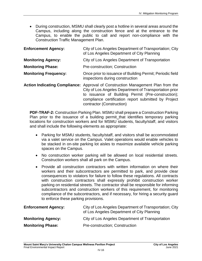During construction, MSMU shall clearly post a hotline in several areas around the Campus, including along the construction fence and at the entrance to the Campus, to enable the public to call and report non-compliance with the Construction Traffic Management Plan.

| <b>Enforcement Agency:</b>   | City of Los Angeles Department of Transportation; City<br>of Los Angeles Department of City Planning                                                                                                                                                                                 |
|------------------------------|--------------------------------------------------------------------------------------------------------------------------------------------------------------------------------------------------------------------------------------------------------------------------------------|
| <b>Monitoring Agency:</b>    | City of Los Angeles Department of Transportation                                                                                                                                                                                                                                     |
| <b>Monitoring Phase:</b>     | Pre-construction; Construction                                                                                                                                                                                                                                                       |
| <b>Monitoring Frequency:</b> | Once prior to issuance of Building Permit; Periodic field<br>inspections during construction                                                                                                                                                                                         |
|                              | Action Indicating Compliance: Approval of Construction Management Plan from the<br>City of Los Angeles Department of Transportation prior<br>to issuance of Building Permit (Pre-construction);<br>compliance certification report submitted by Project<br>contractor (Construction) |

**PDF-TRAF-2:** Construction Parking Plan. MSMU shall prepare a Construction Parking Plan prior to the issuance of a building permit that identifies temporary parking locations for construction workers and for MSMU students, faculty/staff, and visitors and shall include the following elements as appropriate:

- Parking for MSMU students, faculty/staff, and visitors shall be accommodated via a valet service on the Campus. Valet operations would enable vehicles to be stacked in on-site parking lot aisles to maximize available vehicle parking spaces on the Campus.
- No construction worker parking will be allowed on local residential streets. Construction workers shall all park on the Campus.
- Provide all construction contractors with written information on where their workers and their subcontractors are permitted to park, and provide clear consequences to violators for failure to follow these regulations. All contracts with construction contractors shall expressly prohibit construction worker parking on residential streets. The contractor shall be responsible for informing subcontractors and construction workers of this requirement, for monitoring compliance of the subcontractors, and if necessary, for hiring a security guard to enforce these parking provisions.

| <b>Enforcement Agency:</b> | City of Los Angeles Department of Transportation; City<br>of Los Angeles Department of City Planning |
|----------------------------|------------------------------------------------------------------------------------------------------|
| <b>Monitoring Agency:</b>  | City of Los Angeles Department of Transportation                                                     |
| <b>Monitoring Phase:</b>   | Pre-construction; Construction                                                                       |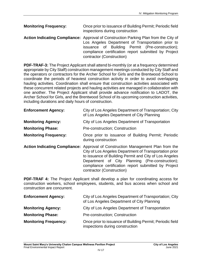**Monitoring Frequency:** Once prior to issuance of Building Permit; Periodic field inspections during construction

**Action Indicating Compliance:** Approval of Construction Parking Plan from the City of Los Angeles Department of Transportation prior to issuance of Building Permit (Pre-construction); compliance certification report submitted by Project contractor (Construction)

**PDF-TRAF-3:** The Project Applicant shall attend bi-monthly (or at a frequency determined appropriate by City Staff) construction management meetings conducted by City Staff and the operators or contractors for the Archer School for Girls and the Brentwood School to coordinate the periods of heaviest construction activity in order to avoid overlapping hauling activities. Coordination shall ensure that construction activities associated with these concurrent related projects and hauling activities are managed in collaboration with one another. The Project Applicant shall provide advance notification to LADOT, the Archer School for Girls, and the Brentwood School of its upcoming construction activities, including durations and daily hours of construction.

| <b>Enforcement Agency:</b>   | City of Los Angeles Department of Transportation; City<br>of Los Angeles Department of City Planning |
|------------------------------|------------------------------------------------------------------------------------------------------|
| <b>Monitoring Agency:</b>    | City of Los Angeles Department of Transportation                                                     |
| <b>Monitoring Phase:</b>     | Pre-construction; Construction                                                                       |
| <b>Monitoring Frequency:</b> | Once prior to issuance of Building Permit; Periodic                                                  |

during construction

**Action Indicating Compliance:** Approval of Construction Management Plan from the City of Los Angeles Department of Transportation prior to issuance of Building Permit and City of Los Angeles Department of City Planning (Pre-construction); compliance certification report submitted by Project contractor (Construction)

**PDF-TRAF 4:** The Project Applicant shall develop a plan for coordinating access for construction workers, school employees, students, and bus access when school and construction are concurrent.

| <b>Enforcement Agency:</b>   | City of Los Angeles Department of Transportation; City<br>of Los Angeles Department of City Planning |
|------------------------------|------------------------------------------------------------------------------------------------------|
| <b>Monitoring Agency:</b>    | City of Los Angeles Department of Transportation                                                     |
| <b>Monitoring Phase:</b>     | Pre-construction; Construction                                                                       |
| <b>Monitoring Frequency:</b> | Once prior to issuance of Building Permit; Periodic field<br>inspections during construction         |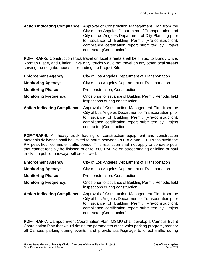**Action Indicating Compliance:** Approval of Construction Management Plan from the City of Los Angeles Department of Transportation and City of Los Angeles Department of City Planning prior to issuance of Building Permit (Pre-construction); compliance certification report submitted by Project contractor (Construction)

**PDF-TRAF-5:** Construction truck travel on local streets shall be limited to Bundy Drive, Norman Place, and Chalon Drive only; trucks would not travel on any other local streets serving the neighborhoods surrounding the Project Site.

| <b>Enforcement Agency:</b> | City of Los Angeles Department of Transportation |
|----------------------------|--------------------------------------------------|
|----------------------------|--------------------------------------------------|

- **Monitoring Agency:** City of Los Angeles Department of Transportation
- **Monitoring Phase:** Pre-construction; Construction
- **Monitoring Frequency:** Once prior to issuance of Building Permit; Periodic field inspections during construction
- **Action Indicating Compliance:** Approval of Construction Management Plan from the City of Los Angeles Department of Transportation prior to issuance of Building Permit (Pre-construction); compliance certification report submitted by Project contractor (Construction)

**PDF-TRAF-6:** All heavy truck hauling of construction equipment and construction materials deliveries shall be limited to hours between 7:00 AM and 3:00 PM to avoid the PM peak-hour commuter traffic period. This restriction shall not apply to concrete pour that cannot feasibly be finished prior to 3:00 PM. No on-street staging or idling of haul trucks on public roadways will be allowed.

| <b>Enforcement Agency:</b> | City of Los Angeles Department of Transportation |
|----------------------------|--------------------------------------------------|
|----------------------------|--------------------------------------------------|

- **Monitoring Agency:** City of Los Angeles Department of Transportation
- **Monitoring Phase:** Pre-construction; Construction
- **Monitoring Frequency:** Once prior to issuance of Building Permit; Periodic field inspections during construction
- **Action Indicating Compliance:** Approval of Construction Management Plan from the City of Los Angeles Department of Transportation prior to issuance of Building Permit (Pre-construction); compliance certification report submitted by Project contractor (Construction)

**PDF-TRAF-7:** Campus Event Coordination Plan. MSMU shall develop a Campus Event Coordination Plan that would define the parameters of the valet parking program, monitor off-Campus parking during events, and provide staff/signage to direct traffic during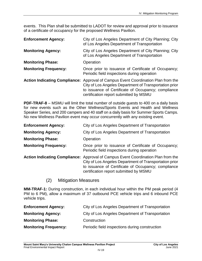events. This Plan shall be submitted to LADOT for review and approval prior to issuance of a certificate of occupancy for the proposed Wellness Pavilion.

| <b>Enforcement Agency:</b>           | City of Los Angeles Department of City Planning; City<br>of Los Angeles Department of Transportation                                                                                                           |
|--------------------------------------|----------------------------------------------------------------------------------------------------------------------------------------------------------------------------------------------------------------|
| <b>Monitoring Agency:</b>            | City of Los Angeles Department of City Planning; City<br>of Los Angeles Department of Transportation                                                                                                           |
| <b>Monitoring Phase:</b>             | Operation                                                                                                                                                                                                      |
| <b>Monitoring Frequency:</b>         | Once prior to issuance of Certificate of Occupancy;<br>Periodic field inspections during operation                                                                                                             |
| <b>Action Indicating Compliance:</b> | Approval of Campus Event Coordination Plan from the<br>City of Los Angeles Department of Transportation prior<br>to issuance of Certificate of Occupancy; compliance<br>certification report submitted by MSMU |

**PDF-TRAF-8** – MSMU will limit the total number of outside guests to 400 on a daily basis for new events such as the Other Wellness/Sports Events and Health and Wellness Speaker Series, and 200 campers and 40 staff on a daily basis for Summer Sports Camps. No new Wellness Pavilion event may occur concurrently with any existing event.

| <b>Enforcement Agency:</b>   | City of Los Angeles Department of Transportation                                                                                                                                                                                             |
|------------------------------|----------------------------------------------------------------------------------------------------------------------------------------------------------------------------------------------------------------------------------------------|
| <b>Monitoring Agency:</b>    | City of Los Angeles Department of Transportation                                                                                                                                                                                             |
| <b>Monitoring Phase:</b>     | Operation                                                                                                                                                                                                                                    |
| <b>Monitoring Frequency:</b> | Once prior to issuance of Certificate of Occupancy;<br>Periodic field inspections during operation                                                                                                                                           |
|                              | Action Indicating Compliance: Approval of Campus Event Coordination Plan from the<br>City of Los Angeles Department of Transportation prior<br>to issuance of Certificate of Occupancy; compliance<br>certification report submitted by MSMU |

(2) Mitigation Measures

**MM-TRAF-1:** During construction, in each individual hour within the PM peak period (4 PM to 6 PM), allow a maximum of 37 outbound PCE vehicle trips and 6 inbound PCE vehicle trips.

| City of Los Angeles Department of Transportation |
|--------------------------------------------------|
| City of Los Angeles Department of Transportation |
| Construction                                     |
| Periodic field inspections during construction   |
|                                                  |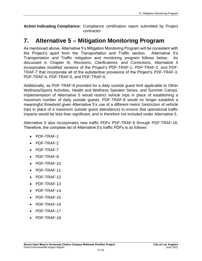**Action Indicating Compliance:** Compliance certification report submitted by Project contractor

## **7. Alternative 5 – Mitigation Monitoring Program**

As mentioned above, Alternative 5's Mitigation Monitoring Program will be consistent with the Project's apart from the Transportation and Traffic section. Alternative 5's Transportation and Traffic mitigation and monitoring program follows below. As discussed in Chapter III, *Revisions, Clarifications, and Corrections*, Alternative 5 incorporates modified versions of the Project's PDF-TRAF-1, PDF-TRAF-2, and PDF-TRAF-7 that incorporate all of the substantive provisions of the Project's PDF-TRAF-3, PDF-TRAF-4, PDF-TRAF-5, and PDF-TRAF-6.

Additionally, as PDF-TRAF-8 provided for a daily outside guest limit applicable to Other Wellness/Sports Activities, Health and Wellness Speaker Series, and Summer Camps, implementation of Alternative 5 would restrict vehicle trips in place of establishing a maximum number of daily outside guests. PDF-TRAF-8 would no longer establish a meaningful threshold given Alternative 5's use of a different metric (restriction of vehicle trips in place of a maximum outside guest attendance) to ensure that operational traffic impacts would be less than significant, and is therefore not included under Alternative 5.

Alternative 5 also incorporates new traffic PDFs PDF-TRAF-9 through PDF-TRAF-18. Therefore, the complete list of Alternative 5's traffic PDFs is as follows:

- PDF-TRAF-1
- PDF-TRAF-2
- PDF-TRAF-7
- PDF-TRAF-9
- PDF-TRAF-10
- PDF-TRAF-11
- $\bullet$  PDF-TRAF-12
- PDF-TRAF-13
- PDF-TRAF-14
- PDF-TRAF-15
- PDF-TRAF-16
- PDF-TRAF-17
- PDF-TRAF-18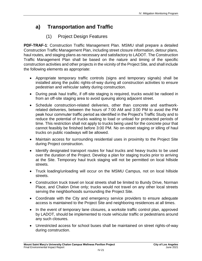### **a) Transportation and Traffic**

### (1) Project Design Features

**PDF-TRAF-1**: Construction Traffic Management Plan. MSMU shall prepare a detailed Construction Traffic Management Plan, including street closure information, detour plans, haul routes, and staging plans as necessary and satisfactory to LADOT. The Construction Traffic Management Plan shall be based on the nature and timing of the specific construction activities and other projects in the vicinity of the Project Site, and shall include the following elements as appropriate:

- Appropriate temporary traffic controls (signs and temporary signals) shall be installed along the public rights-of-way during all construction activities to ensure pedestrian and vehicular safety during construction.
- During peak haul traffic, if off-site staging is required, trucks would be radioed in from an off-site staging area to avoid queuing along adjacent street.
- Schedule construction-related deliveries, other than concrete and earthworkrelated deliveries, between the hours of 7:00 AM and 3:00 PM to avoid the PM peak hour commuter traffic period as identified in the Project's Traffic Study and to reduce the potential of trucks waiting to load or unload for protracted periods of time. This restriction shall not apply to trucks being used for the concrete pour that cannot feasibly be finished before 3:00 PM. No on-street staging or idling of haul trucks on public roadways will be allowed.
- Maintain access for surrounding residential uses in proximity to the Project Site during Project construction.
- Identify designated transport routes for haul trucks and heavy trucks to be used over the duration of the Project. Develop a plan for staging trucks prior to arriving at the Site. Temporary haul truck staging will not be permitted on local hillside streets.
- Truck loading/unloading will occur on the MSMU Campus, not on local hillside streets.
- Construction truck travel on local streets shall be limited to Bundy Drive, Norman Place, and Chalon Drive only; trucks would not travel on any other local streets serving the neighborhoods surrounding the Project Site.
- Coordinate with the City and emergency service providers to ensure adequate access is maintained to the Project Site and neighboring residences at all times.
- In the event of temporary lane closures, a worksite traffic control plan, approved by LADOT, should be implemented to route vehicular traffic or pedestrians around any such closures.
- Unrestricted access for school buses shall be maintained on street rights-of-way during construction.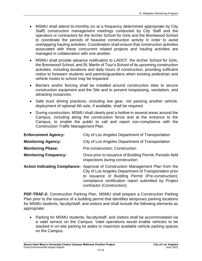- MSMU shall attend bi-monthly (or at a frequency determined appropriate by City Staff) construction management meetings conducted by City Staff and the operators or contractors for the Archer School for Girls and the Brentwood School to coordinate the periods of heaviest construction activity in order to avoid overlapping hauling activities. Coordination shall ensure that construction activities associated with these concurrent related projects and hauling activities are managed in collaboration with one another.
- MSMU shall provide advance notification to LADOT, the Archer School for Girls, the Brentwood School, and St. Martin of Tour's School of its upcoming construction activities, including durations and daily hours of construction, providing sufficient notice to forewarn students and parents/guardians when existing pedestrian and vehicle routes to school may be impacted.
- Barriers and/or fencing shall be installed around construction sites to secure construction equipment and the Site and to prevent trespassing, vandalism, and attracting nuisances.
- Safe truck driving practices, including low gear, not passing another vehicle, deployment of optional 4th axle, if available, shall be required.
- During construction, MSMU shall clearly post a hotline in several areas around the Campus, including along the construction fence and at the entrance to the Campus, to enable the public to call and report non-compliance with the Construction Traffic Management Plan.

| <b>Enforcement Agency:</b>   | City of Los Angeles Department of Transportation                                                                                                                                                                                                                                     |
|------------------------------|--------------------------------------------------------------------------------------------------------------------------------------------------------------------------------------------------------------------------------------------------------------------------------------|
| <b>Monitoring Agency:</b>    | City of Los Angeles Department of Transportation                                                                                                                                                                                                                                     |
| <b>Monitoring Phase:</b>     | Pre-construction; Construction                                                                                                                                                                                                                                                       |
| <b>Monitoring Frequency:</b> | Once prior to issuance of Building Permit; Periodic field<br>inspections during construction                                                                                                                                                                                         |
|                              | Action Indicating Compliance: Approval of Construction Management Plan from the<br>City of Los Angeles Department of Transportation prior<br>to issuance of Building Permit (Pre-construction);<br>compliance certification report submitted by Project<br>contractor (Construction) |

**PDF-TRAF-2:** Construction Parking Plan. MSMU shall prepare a Construction Parking Plan prior to the issuance of a building permit that identifies temporary parking locations for MSMU students, faculty/staff, and visitors and shall include the following elements as appropriate:

 Parking for MSMU students, faculty/staff, and visitors shall be accommodated via a valet service on the Campus. Valet operations would enable vehicles to be stacked in on-site parking lot aisles to maximize available vehicle parking spaces on the Campus.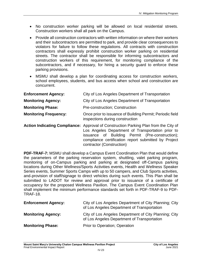- No construction worker parking will be allowed on local residential streets. Construction workers shall all park on the Campus.
- Provide all construction contractors with written information on where their workers and their subcontractors are permitted to park, and provide clear consequences to violators for failure to follow these regulations. All contracts with construction contractors shall expressly prohibit construction worker parking on residential streets. The contractor shall be responsible for informing subcontractors and construction workers of this requirement, for monitoring compliance of the subcontractors, and if necessary, for hiring a security guard to enforce these parking provisions.
- MSMU shall develop a plan for coordinating access for construction workers, school employees, students, and bus access when school and construction are concurrent.

| <b>Enforcement Agency:</b>   | City of Los Angeles Department of Transportation                                                                                                                                                                                                                                  |
|------------------------------|-----------------------------------------------------------------------------------------------------------------------------------------------------------------------------------------------------------------------------------------------------------------------------------|
| <b>Monitoring Agency:</b>    | City of Los Angeles Department of Transportation                                                                                                                                                                                                                                  |
| <b>Monitoring Phase:</b>     | Pre-construction; Construction                                                                                                                                                                                                                                                    |
| <b>Monitoring Frequency:</b> | Once prior to issuance of Building Permit; Periodic field<br>inspections during construction                                                                                                                                                                                      |
|                              | Action Indicating Compliance: Approval of Construction Parking Plan from the City of<br>Los Angeles Department of Transportation prior to<br>issuance of Building Permit (Pre-construction);<br>compliance certification report submitted by Project<br>contractor (Construction) |

**PDF-TRAF-7:** MSMU shall develop a Campus Event Coordination Plan that would define the parameters of the parking reservation system, shuttling, valet parking program, monitoring of on-Campus parking and parking at designated off-Campus parking locations during Other Wellness/Sports Activities events, Health and Wellness Speaker Series events, Summer Sports Camps with up to 50 campers, and Club Sports activities, and-provision of staff/signage to direct vehicles during such events. This Plan shall be submitted to LADOT for review and approval prior to issuance of a certificate of occupancy for the proposed Wellness Pavilion. The Campus Event Coordination Plan shall implement the minimum performance standards set forth in PDF-TRAF-9 to PDF-TRAF-18.

| <b>Enforcement Agency:</b> | City of Los Angeles Department of City Planning; City<br>of Los Angeles Department of Transportation |
|----------------------------|------------------------------------------------------------------------------------------------------|
| <b>Monitoring Agency:</b>  | City of Los Angeles Department of City Planning; City<br>of Los Angeles Department of Transportation |
| <b>Monitoring Phase:</b>   | Prior to Operation; Operation                                                                        |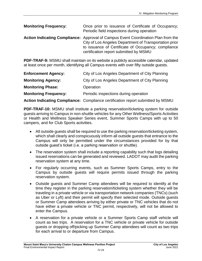| <b>Monitoring Frequency:</b> | Once prior to issuance of Certificate of Occupancy;<br>Periodic field inspections during operation                                                                                                                                                  |
|------------------------------|-----------------------------------------------------------------------------------------------------------------------------------------------------------------------------------------------------------------------------------------------------|
|                              | <b>Action Indicating Compliance:</b> Approval of Campus Event Coordination Plan from the<br>City of Los Angeles Department of Transportation prior<br>to issuance of Certificate of Occupancy; compliance<br>certification report submitted by MSMU |

**PDF-TRAF-9:** MSMU shall maintain on its website a publicly accessible calendar, updated at least once per month, identifying all Campus events with over fifty outside guests.

| <b>Enforcement Agency:</b>   | City of Los Angeles Department of City Planning                                        |
|------------------------------|----------------------------------------------------------------------------------------|
| <b>Monitoring Agency:</b>    | City of Los Angeles Department of City Planning                                        |
| <b>Monitoring Phase:</b>     | Operation                                                                              |
| <b>Monitoring Frequency:</b> | Periodic inspections during operation                                                  |
|                              | <b>Action Indicating Compliance:</b> Compliance certification report submitted by MSMU |

**PDF-TRAF-10:** MSMU shall institute a parking reservation/ticketing system for outside guests arriving to Campus in non-shuttle vehicles for any Other Wellness/Sports Activities or Health and Wellness Speaker Series event, Summer Sports Camps with up to 50 campers, and for Club Sports activities.

- All outside guests shall be required to use the parking reservation/ticketing system, which shall clearly and conspicuously inform all outside guests that entrance to the Campus will only be permitted under the circumstances provided for by that outside guest's ticket (i.e. a parking reservation or shuttle).
- The reservation system shall include a reporting capability such that logs detailing issued reservations can be generated and reviewed. LADOT may audit the parking reservation system at any time.
- For regularly occurring events, such as Summer Sports Camps, entry to the Campus by outside guests will require permits issued through the parking reservation system.
- Outside guests and Summer Camp attendees will be required to identify at the time they register in the parking reservation/ticketing system whether they will be traveling in a private vehicle or via transportation network companies (TNCs) (such as Uber or Lyft) and their permit will specify their selected mode. Outside guests or Summer Camp attendees arriving by either private or TNC vehicles that do not have either a private vehicle or TNC permit, respectively, will not be allowed to enter the Campus.
- A reservation for a private vehicle or a Summer Sports Camp staff vehicle will count as two trips. A reservation for a TNC vehicle or private vehicle for outside guests or dropping off/picking up Summer Camp attendees will count as two trips for each arrival to or departure from Campus.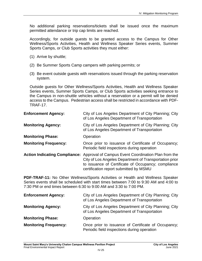No additional parking reservations/tickets shall be issued once the maximum permitted attendance or trip cap limits are reached.

Accordingly, for outside guests to be granted access to the Campus for Other Wellness/Sports Activities, Health and Wellness Speaker Series events, Summer Sports Camps, or Club Sports activities they must either:

- (1) Arrive by shuttle;
- (2) Be Summer Sports Camp campers with parking permits; or
- (3) Be event outside guests with reservations issued through the parking reservation system.

Outside guests for Other Wellness/Sports Activities, Health and Wellness Speaker Series events, Summer Sports Camps, or Club Sports activities seeking entrance to the Campus in non-shuttle vehicles without a reservation or a permit will be denied access to the Campus. Pedestrian access shall be restricted in accordance with PDF-TRAF-17.

| <b>Enforcement Agency:</b>           | City of Los Angeles Department of City Planning; City<br>of Los Angeles Department of Transportation                                                                                                           |
|--------------------------------------|----------------------------------------------------------------------------------------------------------------------------------------------------------------------------------------------------------------|
| <b>Monitoring Agency:</b>            | City of Los Angeles Department of City Planning; City<br>of Los Angeles Department of Transportation                                                                                                           |
| <b>Monitoring Phase:</b>             | Operation                                                                                                                                                                                                      |
| <b>Monitoring Frequency:</b>         | Once prior to issuance of Certificate of Occupancy;<br>Periodic field inspections during operation                                                                                                             |
| <b>Action Indicating Compliance:</b> | Approval of Campus Event Coordination Plan from the<br>City of Los Angeles Department of Transportation prior<br>to issuance of Certificate of Occupancy; compliance<br>certification report submitted by MSMU |

**PDF-TRAF-11:** No Other Wellness/Sports Activities or Health and Wellness Speaker Series events shall be scheduled with start times between 7:00 to 9:30 AM and 4:00 to 7:30 PM or end times between 6:30 to 9:00 AM and 3:30 to 7:00 PM.

| <b>Enforcement Agency:</b>   | City of Los Angeles Department of City Planning; City<br>of Los Angeles Department of Transportation |
|------------------------------|------------------------------------------------------------------------------------------------------|
| <b>Monitoring Agency:</b>    | City of Los Angeles Department of City Planning; City<br>of Los Angeles Department of Transportation |
| <b>Monitoring Phase:</b>     | Operation                                                                                            |
| <b>Monitoring Frequency:</b> | Once prior to issuance of Certificate of Occupancy;<br>Periodic field inspections during operation   |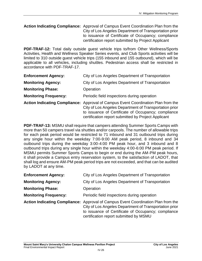#### **Action Indicating Compliance:** Approval of Campus Event Coordination Plan from the City of Los Angeles Department of Transportation prior to issuance of Certificate of Occupancy; compliance certification report submitted by Project Applicant

**PDF-TRAF-12:** Total daily outside guest vehicle trips to/from Other Wellness/Sports Activities, Health and Wellness Speaker Series events, and Club Sports activities will be limited to 310 outside guest vehicle trips (155 inbound and 155 outbound), which will be applicable to all vehicles, including shuttles. Pedestrian access shall be restricted in accordance with PDF-TRAF-17.

| <b>Enforcement Agency:</b>   | City of Los Angeles Department of Transportation                                                                                                                                                                                                          |
|------------------------------|-----------------------------------------------------------------------------------------------------------------------------------------------------------------------------------------------------------------------------------------------------------|
| <b>Monitoring Agency:</b>    | City of Los Angeles Department of Transportation                                                                                                                                                                                                          |
| <b>Monitoring Phase:</b>     | Operation                                                                                                                                                                                                                                                 |
| <b>Monitoring Frequency:</b> | Periodic field inspections during operation                                                                                                                                                                                                               |
|                              | Action Indicating Compliance: Approval of Campus Event Coordination Plan from the<br>City of Los Angeles Department of Transportation prior<br>to issuance of Certificate of Occupancy; compliance<br>certification report submitted by Project Applicant |

**PDF-TRAF-13:** MSMU shall require that campers attending Summer Sports Camps with more than 50 campers travel via shuttles and/or carpools. The number of allowable trips for each peak period would be restricted to 71 inbound and 31 outbound trips during any single hour within the weekday 7:00-9:00 AM peak period, 8 inbound and 34 outbound trips during the weekday 3:00-4:00 PM peak hour, and 3 inbound and 8 outbound trips during any single hour within the weekday 4:00-6:00 PM peak period. If MSMU permits Summer Sports Camps to begin or end during the AM-PM peak hours, it shall provide a Campus entry reservation system, to the satisfaction of LADOT, that shall log and ensure AM-PM peak period trips are not exceeded, and that can be audited by LADOT at any time.

| <b>Enforcement Agency:</b>   | City of Los Angeles Department of Transportation                                                                                                                                                                                             |
|------------------------------|----------------------------------------------------------------------------------------------------------------------------------------------------------------------------------------------------------------------------------------------|
| <b>Monitoring Agency:</b>    | City of Los Angeles Department of Transportation                                                                                                                                                                                             |
| <b>Monitoring Phase:</b>     | Operation                                                                                                                                                                                                                                    |
| <b>Monitoring Frequency:</b> | Periodic field inspections during operation                                                                                                                                                                                                  |
|                              | Action Indicating Compliance: Approval of Campus Event Coordination Plan from the<br>City of Los Angeles Department of Transportation prior<br>to issuance of Certificate of Occupancy; compliance<br>certification report submitted by MSMU |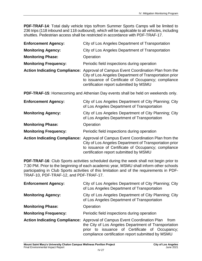**PDF-TRAF-14**: Total daily vehicle trips to/from Summer Sports Camps will be limited to 236 trips (118 inbound and 118 outbound), which will be applicable to all vehicles, including shuttles. Pedestrian access shall be restricted in accordance with PDF-TRAF-17.

| <b>Enforcement Agency:</b>   | City of Los Angeles Department of Transportation                                                                                                                                                                                             |
|------------------------------|----------------------------------------------------------------------------------------------------------------------------------------------------------------------------------------------------------------------------------------------|
| <b>Monitoring Agency:</b>    | City of Los Angeles Department of Transportation                                                                                                                                                                                             |
| <b>Monitoring Phase:</b>     | Operation                                                                                                                                                                                                                                    |
| <b>Monitoring Frequency:</b> | Periodic field inspections during operation                                                                                                                                                                                                  |
|                              | Action Indicating Compliance: Approval of Campus Event Coordination Plan from the<br>City of Los Angeles Department of Transportation prior<br>to issuance of Certificate of Occupancy; compliance<br>certification report submitted by MSMU |

**PDF-TRAF-15**: Homecoming and Athenian Day events shall be held on weekends only.

| <b>Enforcement Agency:</b>   | City of Los Angeles Department of City Planning; City<br>of Los Angeles Department of Transportation                                                                                                                                                |
|------------------------------|-----------------------------------------------------------------------------------------------------------------------------------------------------------------------------------------------------------------------------------------------------|
| <b>Monitoring Agency:</b>    | City of Los Angeles Department of City Planning; City<br>of Los Angeles Department of Transportation                                                                                                                                                |
| <b>Monitoring Phase:</b>     | Operation                                                                                                                                                                                                                                           |
| <b>Monitoring Frequency:</b> | Periodic field inspections during operation                                                                                                                                                                                                         |
|                              | <b>Action Indicating Compliance:</b> Approval of Campus Event Coordination Plan from the<br>City of Los Angeles Department of Transportation prior<br>to issuance of Certificate of Occupancy; compliance<br>certification report submitted by MSMU |

**PDF-TRAF-16**: Club Sports activities scheduled during the week shall not begin prior to 7:30 PM. Prior to the beginning of each academic year, MSMU shall inform other schools participating in Club Sports activities of this limitation and of the requirements in PDF-TRAF-10, PDF-TRAF-12, and PDF-TRAF-17.

| <b>Enforcement Agency:</b>   | City of Los Angeles Department of City Planning; City<br>of Los Angeles Department of Transportation                                                                                                                                                   |
|------------------------------|--------------------------------------------------------------------------------------------------------------------------------------------------------------------------------------------------------------------------------------------------------|
| <b>Monitoring Agency:</b>    | City of Los Angeles Department of City Planning; City<br>of Los Angeles Department of Transportation                                                                                                                                                   |
| <b>Monitoring Phase:</b>     | Operation                                                                                                                                                                                                                                              |
| <b>Monitoring Frequency:</b> | Periodic field inspections during operation                                                                                                                                                                                                            |
|                              | <b>Action Indicating Compliance:</b> Approval of Campus Event Coordination Plan<br>from<br>the City of Los Angeles Department of Transportation<br>prior to issuance of Certificate of Occupancy;<br>compliance certification report submitted by MSMU |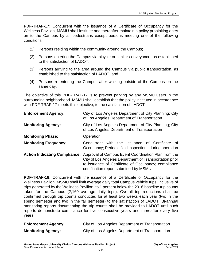**PDF-TRAF-17**: Concurrent with the issuance of a Certificate of Occupancy for the Wellness Pavilion, MSMU shall institute and thereafter maintain a policy prohibiting entry on to the Campus by all pedestrians except persons meeting one of the following conditions:

- (1) Persons residing within the community around the Campus;
- (2) Persons entering the Campus via bicycle or similar conveyance, as established to the satisfaction of LADOT;
- (3) Persons arriving to the area around the Campus via public transportation, as established to the satisfaction of LADOT; and
- (4) Persons re-entering the Campus after walking outside of the Campus on the same day.

The objective of this PDF-TRAF-17 is to prevent parking by any MSMU users in the surrounding neighborhood. MSMU shall establish that the policy instituted in accordance with PDF-TRAF-17 meets this objective, to the satisfaction of LADOT.

| <b>Enforcement Agency:</b>           | City of Los Angeles Department of City Planning; City<br>of Los Angeles Department of Transportation                                                                                                           |
|--------------------------------------|----------------------------------------------------------------------------------------------------------------------------------------------------------------------------------------------------------------|
| <b>Monitoring Agency:</b>            | City of Los Angeles Department of City Planning; City<br>of Los Angeles Department of Transportation                                                                                                           |
| <b>Monitoring Phase:</b>             | Operation                                                                                                                                                                                                      |
| <b>Monitoring Frequency:</b>         | with the issuance of Certificate<br>Concurrent<br>of.<br>Occupancy; Periodic field inspections during operation                                                                                                |
| <b>Action Indicating Compliance:</b> | Approval of Campus Event Coordination Plan from the<br>City of Los Angeles Department of Transportation prior<br>to issuance of Certificate of Occupancy; compliance<br>certification report submitted by MSMU |

**PDF-TRAF-18**: Concurrent with the issuance of a Certificate of Occupancy for the Wellness Pavilion, MSMU shall limit average daily total Campus vehicle trips, inclusive of trips generated by the Wellness Pavilion, to 1 percent below the 2016 baseline trip counts taken for the Campus (2,160 average daily trips). Overall trip reductions shall be confirmed through trip counts conducted for at least two weeks each year (two in the spring semester and two in the fall semester) to the satisfaction of LADOT. Bi-annual monitoring reports documenting the trip counts shall be provided to LADOT until such reports demonstrate compliance for five consecutive years and thereafter every five years.

| <b>Enforcement Agency:</b> | City of Los Angeles Department of Transportation |
|----------------------------|--------------------------------------------------|
| <b>Monitoring Agency:</b>  | City of Los Angeles Department of Transportation |